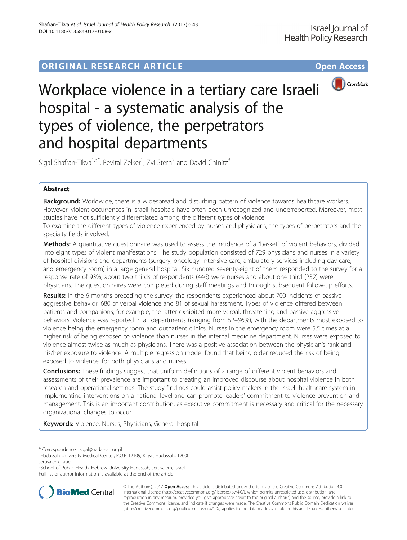**ORIGINAL RESEARCH ARTICLE CONSUMING ACCESS** 



# Workplace violence in a tertiary care Israeli hospital - a systematic analysis of the types of violence, the perpetrators and hospital departments

Sigal Shafran-Tikva<sup>1,3\*</sup>, Revital Zelker<sup>1</sup>, Zvi Stern<sup>2</sup> and David Chinitz<sup>3</sup>

# Abstract

Background: Worldwide, there is a widespread and disturbing pattern of violence towards healthcare workers. However, violent occurrences in Israeli hospitals have often been unrecognized and underreported. Moreover, most studies have not sufficiently differentiated among the different types of violence.

To examine the different types of violence experienced by nurses and physicians, the types of perpetrators and the specialty fields involved.

Methods: A quantitative questionnaire was used to assess the incidence of a "basket" of violent behaviors, divided into eight types of violent manifestations. The study population consisted of 729 physicians and nurses in a variety of hospital divisions and departments (surgery, oncology, intensive care, ambulatory services including day care, and emergency room) in a large general hospital. Six hundred seventy-eight of them responded to the survey for a response rate of 93%; about two thirds of respondents (446) were nurses and about one third (232) were physicians. The questionnaires were completed during staff meetings and through subsequent follow-up efforts.

Results: In the 6 months preceding the survey, the respondents experienced about 700 incidents of passive aggressive behavior, 680 of verbal violence and 81 of sexual harassment. Types of violence differed between patients and companions; for example, the latter exhibited more verbal, threatening and passive aggressive behaviors. Violence was reported in all departments (ranging from 52–96%), with the departments most exposed to violence being the emergency room and outpatient clinics. Nurses in the emergency room were 5.5 times at a higher risk of being exposed to violence than nurses in the internal medicine department. Nurses were exposed to violence almost twice as much as physicians. There was a positive association between the physician's rank and his/her exposure to violence. A multiple regression model found that being older reduced the risk of being exposed to violence, for both physicians and nurses.

**Conclusions:** These findings suggest that uniform definitions of a range of different violent behaviors and assessments of their prevalence are important to creating an improved discourse about hospital violence in both research and operational settings. The study findings could assist policy makers in the Israeli healthcare system in implementing interventions on a national level and can promote leaders' commitment to violence prevention and management. This is an important contribution, as executive commitment is necessary and critical for the necessary organizational changes to occur.

Keywords: Violence, Nurses, Physicians, General hospital

\* Correspondence: [tsigal@hadassah.org.il](mailto:tsigal@hadassah.org.il) <sup>1</sup>

<sup>&</sup>lt;sup>3</sup>School of Public Health, Hebrew University-Hadassah, Jerusalem, Israel Full list of author information is available at the end of the article



© The Author(s). 2017 **Open Access** This article is distributed under the terms of the Creative Commons Attribution 4.0 International License [\(http://creativecommons.org/licenses/by/4.0/](http://creativecommons.org/licenses/by/4.0/)), which permits unrestricted use, distribution, and reproduction in any medium, provided you give appropriate credit to the original author(s) and the source, provide a link to the Creative Commons license, and indicate if changes were made. The Creative Commons Public Domain Dedication waiver [\(http://creativecommons.org/publicdomain/zero/1.0/](http://creativecommons.org/publicdomain/zero/1.0/)) applies to the data made available in this article, unless otherwise stated.

Hadassah University Medical Center, P.O.B 12109, Kiryat Hadassah, 12000 Jerusalem, Israel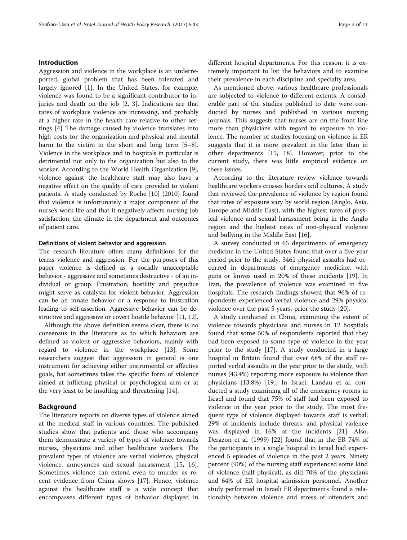## Introduction

Aggression and violence in the workplace is an underreported, global problem that has been tolerated and largely ignored [\[1](#page-9-0)]. In the United States, for example, violence was found to be a significant contributor to injuries and death on the job [[2, 3](#page-9-0)]. Indications are that rates of workplace violence are increasing, and probably at a higher rate in the health care relative to other settings [\[4](#page-9-0)] The damage caused by violence translates into high costs for the organization and physical and mental harm to the victim in the short and long term [\[5](#page-9-0)–[8](#page-9-0)]. Violence in the workplace and in hospitals in particular is detrimental not only to the organization but also to the worker. According to the World Health Organization [[9](#page-9-0)], violence against the healthcare staff may also have a negative effect on the quality of care provided to violent patients. A study conducted by Roche [\[10\]](#page-9-0) (2010) found that violence is unfortunately a major component of the nurse's work life and that it negatively affects nursing job satisfaction, the climate in the department and outcomes of patient care.

#### Definitions of violent behavior and aggression

The research literature offers many definitions for the terms violence and aggression. For the purposes of this paper violence is defined as a socially unacceptable behavior - aggressive and sometimes destructive - of an individual or group. Frustration, hostility and prejudice might serve as catalysts for violent behavior. Aggression can be an innate behavior or a response to frustration leading to self-assertion. Aggressive behavior can be destructive and aggressive or covert hostile behavior [\[11, 12](#page-9-0)].

Although the above definition seems clear, there is no consensus in the literature as to which behaviors are defined as violent or aggressive behaviors, mainly with regard to violence in the workplace [[13\]](#page-9-0). Some researchers suggest that aggression in general is one instrument for achieving either instrumental or affective goals, hat sometimes takes the specific form of violence aimed at inflicting physical or psychological arm or at the very least to be insulting and threatening [[14\]](#page-9-0).

### Background

The literature reports on diverse types of violence aimed at the medical staff in various countries. The published studies show that patients and those who accompany them demonstrate a variety of types of violence towards nurses, physicians and other healthcare workers. The prevalent types of violence are verbal violence, physical violence, annoyances and sexual harassment [[15, 16](#page-9-0)]. Sometimes violence can extend even to murder as recent evidence from China shows [[17](#page-9-0)]. Hence, violence against the healthcare staff is a wide concept that encompasses different types of behavior displayed in different hospital departments. For this reason, it is extremely important to list the behaviors and to examine their prevalence in each discipline and specialty area.

As mentioned above, various healthcare professionals are subjected to violence to different extents. A considerable part of the studies published to date were conducted by nurses and published in various nursing journals. This suggests that nurses are on the front line more than physicians with regard to exposure to violence. The number of studies focusing on violence in ER suggests that it is more prevalent in the later than in other departments [\[15](#page-9-0), [18](#page-9-0)]. However, prior to the current study, there was little empirical evidence on these issues.

According to the literature review violence towards healthcare workers crosses borders and cultures, A study that reviewed the prevalence of violence by region found that rates of exposure vary by world region (Anglo, Asia, Europe and Middle East), with the highest rates of physical violence and sexual harassment being in the Anglo region and the highest rates of non-physical violence and bullying in the Middle East [\[16\]](#page-9-0).

A survey conducted in 65 departments of emergency medicine in the United States found that over a five-year period prior to the study, 3461 physical assaults had occurred in departments of emergency medicine, with guns or knives used in 20% of these incidents [\[19](#page-9-0)]. In Iran, the prevalence of violence was examined in five hospitals. The research findings showed that 96% of respondents experienced verbal violence and 29% physical violence over the past 5 years, prior the study [[20\]](#page-9-0).

A study conducted in China, examining the extent of violence towards physicians and nurses in 12 hospitals found that some 50% of respondents reported that they had been exposed to some type of violence in the year prior to the study [[17](#page-9-0)]. A study conducted in a large hospital in Britain found that over 68% of the staff reported verbal assaults in the year prior to the study, with nurses (43.4%) reporting more exposure to violence than physicians (13.8%) [\[19\]](#page-9-0). In Israel, Landau et al. conducted a study examining all of the emergency rooms in Israel and found that 75% of staff had been exposed to violence in the year prior to the study. The most frequent type of violence displayed towards staff is verbal; 29% of incidents include threats, and physical violence was displayed in 16% of the incidents [\[21](#page-9-0)]. Also, Derazon et al. (1999) [[22\]](#page-9-0) found that in the ER 74% of the participants in a single hospital in Israel had experienced 5 episodes of violence in the past 2 years. Ninety percent (90%) of the nursing staff experienced some kind of violence (half physical), as did 70% of the physicians and 64% of ER hospital admission personnel. Another study performed in Israeli ER departments found a relationship between violence and stress of offenders and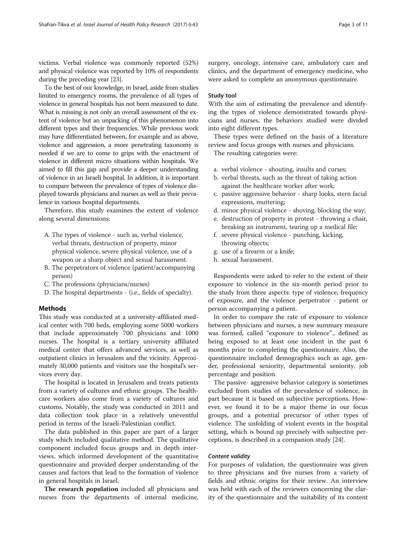victims. Verbal violence was commonly reported (52%) and physical violence was reported by 10% of respondents during the preceding year [\[23\]](#page-9-0).

To the best of our knowledge, in Israel, aside from studies limited to emergency rooms, the prevalence of all types of violence in general hospitals has not been measured to date. What is missing is not only an overall assessment of the extent of violence but an unpacking of this phenomenon into different types and their frequencies. While previous work may have differentiated between, for example and as above, violence and aggression, a more penetrating taxonomy is needed if we are to come to grips with the enactment of violence in different micro situations within hospitals. We aimed to fill this gap and provide a deeper understanding of violence in an Israeli hospital. In addition, it is important to compare between the prevalence of types of violence displayed towards physicians and nurses as well as their prevalence in various hospital departments.

Therefore, this study examines the extent of violence along several dimensions:

- A. The types of violence such as, verbal violence, verbal threats, destruction of property, minor physical violence, severe physical violence, use of a weapon or a sharp object and sexual harassment.
- B. The perpetrators of violence (patient/accompanying person)
- C. The professions (physicians/nurses)
- D. The hospital departments (i.e., fields of specialty).

## Methods

This study was conducted at a university-affiliated medical center with 700 beds, employing some 5000 workers that include approximately 700 physicians and 1000 nurses. The hospital is a tertiary university affiliated medical center that offers advanced services, as well as outpatient clinics in Jerusalem and the vicinity. Approximately 30,000 patients and visitors use the hospital's services every day.

The hospital is located in Jerusalem and treats patients from a variety of cultures and ethnic groups. The healthcare workers also come from a variety of cultures and customs. Notably, the study was conducted in 2011 and data collection took place in a relatively uneventful period in terms of the Israeli-Palestinian conflict.

The data published in this paper are part of a larger study which included qualitative method. The qualitative component included focus groups and in depth interviews, which informed development of the quantitative questionnaire and provided deeper understanding of the causes and factors that lead to the formation of violence in general hospitals in Israel.

The research population included all physicians and nurses from the departments of internal medicine, surgery, oncology, intensive care, ambulatory care and clinics, and the department of emergency medicine, who were asked to complete an anonymous questionnaire.

## Study tool

With the aim of estimating the prevalence and identifying the types of violence demonstrated towards physicians and nurses, the behaviors studied were divided into eight different types.

These types were defined on the basis of a literature review and focus groups with nurses and physicians.

The resulting categories were:

- a. verbal violence shouting, insults and curses;
- b. verbal threats, such as the threat of taking action against the healthcare worker after work;
- c. passive aggressive behavior sharp looks, stern facial expressions, muttering;
- d. minor physical violence shoving, blocking the way;
- e. destruction of property in protest throwing a chair, breaking an instrument, tearing up a medical file;
- f. severe physical violence punching, kicking, throwing objects;
- g. use of a firearm or a knife;
- h. sexual harassment.

Respondents were asked to refer to the extent of their exposure to violence in the six-month period prior to the study from three aspects: type of violence, frequency of exposure, and the violence perpetrator - patient or person accompanying a patient.

In order to compare the rate of exposure to violence between physicians and nurses, a new summary measure was formed, called "exposure to violence"., defined as being exposed to at least one incident in the past 6 months prior to completing the questionnaire. Also, the questionnaire included demographics such as age, gender, professional seniority, departmental seniority, job percentage and position.

The passive- aggressive behavior category is sometimes excluded from studies of the prevalence of violence, in part because it is based on subjective perceptions. However, we found it to be a major theme in our focus groups, and a potential precursor of other types of violence. The unfolding of violent events in the hospital setting, which is bound up precisely with subjective perceptions, is described in a companion study [\[24\]](#page-9-0).

## Content validity

For purposes of validation, the questionnaire was given to three physicians and five nurses from a variety of fields and ethnic origins for their review. An interview was held with each of the reviewers concerning the clarity of the questionnaire and the suitability of its content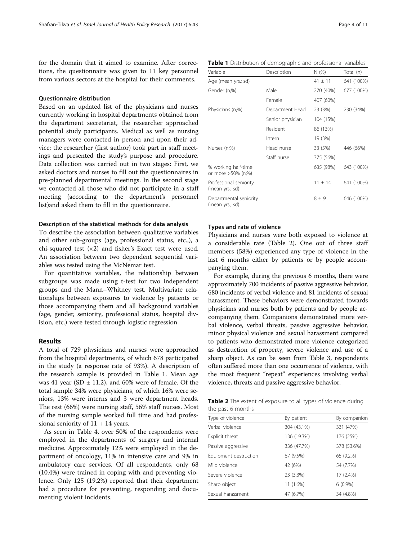for the domain that it aimed to examine. After corrections, the questionnaire was given to 11 key personnel from various sectors at the hospital for their comments.

#### Questionnaire distribution

Based on an updated list of the physicians and nurses currently working in hospital departments obtained from the department secretariat, the researcher approached potential study participants. Medical as well as nursing managers were contacted in person and upon their advice; the researcher (first author) took part in staff meetings and presented the study's purpose and procedure. Data collection was carried out in two stages: First, we asked doctors and nurses to fill out the questionnaires in pre-planned departmental meetings. In the second stage we contacted all those who did not participate in a staff meeting (according to the department's personnel list)and asked them to fill in the questionnaire.

#### Description of the statistical methods for data analysis

To describe the association between qualitative variables and other sub-groups (age, professional status, etc.,), a chi-squared test  $(x2)$  and fisher's Exact test were used. An association between two dependent sequential variables was tested using the McNemar test.

For quantitative variables, the relationship between subgroups was made using t-test for two independent groups and the Mann–Whitney test. Multivariate relationships between exposures to violence by patients or those accompanying them and all background variables (age, gender, seniority, professional status, hospital division, etc.) were tested through logistic regression.

#### Results

A total of 729 physicians and nurses were approached from the hospital departments, of which 678 participated in the study (a response rate of 93%). A description of the research sample is provided in Table 1. Mean age was 41 year (SD  $\pm$  11.2), and 60% were of female. Of the total sample 34% were physicians, of which 16% were seniors, 13% were interns and 3 were department heads. The rest (66%) were nursing staff, 56% staff nurses. Most of the nursing sample worked full time and had professional seniority of 11 + 14 years.

As seen in Table [4,](#page-4-0) over 50% of the respondents were employed in the departments of surgery and internal medicine. Approximately 12% were employed in the department of oncology, 11% in intensive care and 9% in ambulatory care services. Of all respondents, only 68 (10.4%) were trained in coping with and preventing violence. Only 125 (19.2%) reported that their department had a procedure for preventing, responding and documenting violent incidents.

|  |  |  | Table 1 Distribution of demographic and professional variables |  |
|--|--|--|----------------------------------------------------------------|--|
|--|--|--|----------------------------------------------------------------|--|

| Variable                                  | Description      | N(%)        | Total (n)  |
|-------------------------------------------|------------------|-------------|------------|
| Age (mean yrs.; sd)                       |                  | $41 \pm 11$ | 641 (100%) |
| Gender (n;%)                              | Male             | 270 (40%)   | 677 (100%) |
|                                           | Female           | 407 (60%)   |            |
| Physicians (n;%)                          | Department Head  | 23 (3%)     | 230 (34%)  |
|                                           | Senior physician | 104 (15%)   |            |
|                                           | Resident         | 86 (13%)    |            |
|                                           | Intern           | 19 (3%)     |            |
| Nurses (n;%)                              | Head nurse       | 33 (5%)     | 446 (66%)  |
|                                           | Staff nurse      | 375 (56%)   |            |
| % working half-time<br>or more >50% (n;%) |                  | 635 (98%)   | 643 (100%) |
| Professional seniority<br>(mean yrs.; sd) |                  | $11 \pm 14$ | 641 (100%) |
| Departmental seniority<br>(mean yrs.; sd) |                  | $8 \pm 9$   | 646 (100%) |

#### Types and rate of violence

Physicians and nurses were both exposed to violence at a considerable rate (Table 2). One out of three staff members (58%) experienced any type of violence in the last 6 months either by patients or by people accompanying them.

For example, during the previous 6 months, there were approximately 700 incidents of passive aggressive behavior, 680 incidents of verbal violence and 81 incidents of sexual harassment. These behaviors were demonstrated towards physicians and nurses both by patients and by people accompanying them. Companions demonstrated more verbal violence, verbal threats, passive aggressive behavior, minor physical violence and sexual harassment compared to patients who demonstrated more violence categorized as destruction of property, severe violence and use of a sharp object. As can be seen from Table [3,](#page-4-0) respondents often suffered more than one occurrence of violence, with the most frequent "repeat" experiences involving verbal violence, threats and passive aggressive behavior.

|                   | Table 2 The extent of exposure to all types of violence during |  |  |  |
|-------------------|----------------------------------------------------------------|--|--|--|
| the past 6 months |                                                                |  |  |  |

| Type of violence      | By patient  | By companion |
|-----------------------|-------------|--------------|
| Verbal violence       | 304 (43.1%) | 331 (47%)    |
| Explicit threat       | 136 (19.3%) | 176 (25%)    |
| Passive aggressive    | 336 (47.7%) | 378 (53.6%)  |
| Equipment destruction | 67 (9.5%)   | 65 (9.2%)    |
| Mild violence         | 42 (6%)     | 54 (7.7%)    |
| Severe violence       | 23 (3.3%)   | 17 (2.4%)    |
| Sharp object          | 11 (1.6%)   | $6(0.9\%)$   |
| Sexual harassment     | 47 (6.7%)   | 34 (4.8%)    |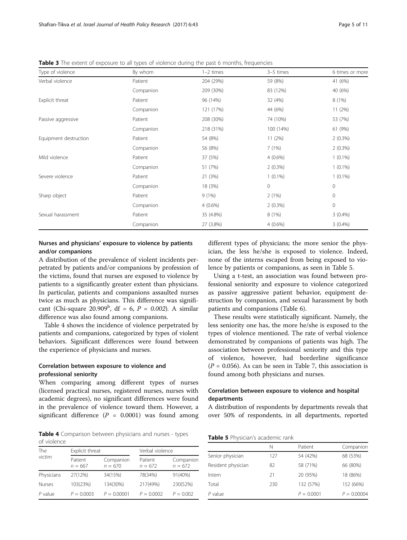<span id="page-4-0"></span>Table 3 The extent of exposure to all types of violence during the past 6 months, frequencies

| Type of violence      | By whom   | $1-2$ times | 3-5 times   | 6 times or more |
|-----------------------|-----------|-------------|-------------|-----------------|
| Verbal violence       | Patient   | 204 (29%)   | 59 (8%)     | 41 (6%)         |
|                       | Companion | 209 (30%)   | 83 (12%)    | 40 (6%)         |
| Explicit threat       | Patient   | 96 (14%)    | 32 (4%)     | 8 (1%)          |
|                       | Companion | 121 (17%)   | 44 (6%)     | 11(2%)          |
| Passive aggressive    | Patient   | 208 (30%)   | 74 (10%)    | 53 (7%)         |
|                       | Companion | 218 (31%)   | 100 (14%)   | 61 (9%)         |
| Equipment destruction | Patient   | 54 (8%)     | 11(2%)      | 2(0.3%)         |
|                       | Companion | 56 (8%)     | 7(1%)       | 2(0.3%)         |
| Mild violence         | Patient   | 37 (5%)     | $4(0.6\%)$  | $1(0.1\%)$      |
|                       | Companion | 51 (7%)     | $2(0.3\%)$  | $1(0.1\%)$      |
| Severe violence       | Patient   | 21 (3%)     | $1(0.1\%)$  | $1(0.1\%)$      |
|                       | Companion | 18 (3%)     | $\mathbf 0$ | 0               |
| Sharp object          | Patient   | 9(1%)       | 2(1%)       | $\Omega$        |
|                       | Companion | $4(0.6\%)$  | 2(0.3%)     | $\Omega$        |
| Sexual harassment     | Patient   | 35 (4.8%)   | 8 (1%)      | $3(0.4\%)$      |
|                       | Companion | 27 (3.8%)   | $4(0.6\%)$  | $3(0.4\%)$      |

## Nurses and physicians' exposure to violence by patients and/or companions

A distribution of the prevalence of violent incidents perpetrated by patients and/or companions by profession of the victims, found that nurses are exposed to violence by patients to a significantly greater extent than physicians. In particular, patients and companions assaulted nurses twice as much as physicians. This difference was significant (Chi-square 20.909<sup>b</sup>, df = 6, *P* = 0.002). A similar difference was also found among companions.

Table 4 shows the incidence of violence perpetrated by patients and companions, categorized by types of violent behaviors. Significant differences were found between the experience of physicians and nurses.

## Correlation between exposure to violence and professional seniority

When comparing among different types of nurses (licensed practical nurses, registered nurses, nurses with academic degrees), no significant differences were found in the prevalence of violence toward them. However, a significant difference  $(P = 0.0001)$  was found among

Table 4 Comparison between physicians and nurses - types of violence

| The<br>victim | Explicit threat      |                        | Verbal violence      |                        |  |
|---------------|----------------------|------------------------|----------------------|------------------------|--|
|               | Patient<br>$n = 667$ | Companion<br>$n = 670$ | Patient<br>$n = 672$ | Companion<br>$n = 672$ |  |
| Physicians    | 27(12%)              | 34(15%)                | 78(34%)              | 91(40%)                |  |
| <b>Nurses</b> | 103(23%)             | 134(30%)               | 217(49%)             | 230(52%)               |  |
| $P$ value     | $P = 0.0003$         | $P = 0.00001$          | $P = 0.0002$         | $P = 0.002$            |  |

different types of physicians; the more senior the physician, the less he/she is exposed to violence. Indeed, none of the interns escaped from being exposed to violence by patients or companions, as seen in Table 5.

Using a t-test, an association was found between professional seniority and exposure to violence categorized as passive aggressive patient behavior, equipment destruction by companion, and sexual harassment by both patients and companions (Table [6\)](#page-5-0).

These results were statistically significant. Namely, the less seniority one has, the more he/she is exposed to the types of violence mentioned. The rate of verbal violence demonstrated by companions of patients was high. The association between professional seniority and this type of violence, however, had borderline significance  $(P = 0.056)$ . As can be seen in Table [7](#page-5-0), this association is found among both physicians and nurses.

## Correlation between exposure to violence and hospital departments

A distribution of respondents by departments reveals that over 50% of respondents, in all departments, reported

|  | Table 5 Physician's academic rank |  |  |
|--|-----------------------------------|--|--|
|--|-----------------------------------|--|--|

|                    | N   | Patient      | Companion     |
|--------------------|-----|--------------|---------------|
| Senior physician   | 127 | 54 (42%)     | 68 (53%)      |
| Resident physician | 82  | 58 (71%)     | 66 (80%)      |
| Intern             | 21  | 20 (95%)     | 18 (86%)      |
| Total              | 230 | 132 (57%)    | 152 (66%)     |
| $P$ value          |     | $P = 0.0001$ | $P = 0.00004$ |
|                    |     |              |               |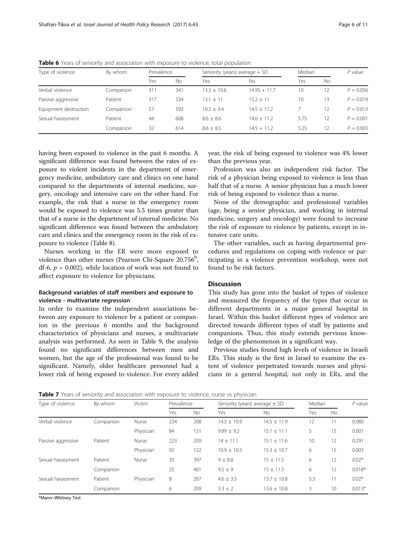| Type of violence      | By whom   | Prevalence |           | Seniority (years) average + SD |                | Median |                   | $P$ value   |
|-----------------------|-----------|------------|-----------|--------------------------------|----------------|--------|-------------------|-------------|
|                       |           | Yes        | <b>No</b> | Yes                            | No             | Yes    | No.               |             |
| Verbal violence       | Companion | 311        | 341       | $13.3 + 10.6$                  | $14.95 + 11.7$ | 10     | 12                | $P = 0.056$ |
| Passive aggressive    | Patient   | 317        | 334       | $13.1 + 11$                    | $15.2 + 11$    | 10     | 13                | $P = 0.019$ |
| Equipment destruction | Companion | 57         | 592       | $10.3 + 9.4$                   | $14.5 + 11.2$  |        | 12                | $P = 0.013$ |
| Sexual harassment     | Patient   | 44         | 608       | $8.6 + 8.6$                    | $14.6 + 11.2$  | 5.75   | $12 \overline{ }$ | $P = 0.001$ |
|                       | Companion | 32         | 614       | $8.6 + 8.5$                    | $14.5 + 11.2$  | 5.25   | 12                | $P = 0.003$ |

<span id="page-5-0"></span>Table 6 Years of seniority and association with exposure to violence, total population

having been exposed to violence in the past 6 months. A significant difference was found between the rates of exposure to violent incidents in the department of emergency medicine, ambulatory care and clinics on one hand compared to the departments of internal medicine, surgery, oncology and intensive care on the other hand. For example, the risk that a nurse in the emergency room would be exposed to violence was 5.5 times greater than that of a nurse in the department of internal medicine. No significant difference was found between the ambulatory care and clinics and the emergency room in the risk of exposure to violence (Table [8\)](#page-6-0).

Nurses working in the ER were more exposed to violence than other nurses (Pearson Chi-Square 20.756<sup>b</sup>, df-6,  $p = 0.002$ ), while location of work was not found to affect exposure to violence for physicians.

## Background variables of staff members and exposure to violence - multivariate regression

In order to examine the independent associations between any exposure to violence by a patient or companion in the previous 6 months and the background characteristics of physicians and nurses, a multivariate analysis was performed. As seen in Table [9](#page-6-0), the analysis found no significant differences between men and women, but the age of the professional was found to be significant. Namely, older healthcare personnel had a lower risk of being exposed to violence. For every added year, the risk of being exposed to violence was 4% lower than the previous year.

Profession was also an independent risk factor. The risk of a physician being exposed to violence is less than half that of a nurse. A senior physician has a much lower risk of being exposed to violence than a nurse.

None of the demographic and professional variables (age, being a senior physician, and working in internal medicine, surgery and oncology) were found to increase the risk of exposure to violence by patients, except in intensive care units.

The other variables, such as having departmental procedures and regulations on coping with violence or participating in a violence prevention workshop, were not found to be risk factors.

## **Discussion**

This study has gone into the basket of types of violence and measured the frequency of the types that occur in different departments in a major general hospital in Israel. Within this basket different types of violence are directed towards different types of staff by patients and companions. Thus, this study extends pervious knowledge of the phenomenon in a significant way.

Previous studies found high levels of violence in Israeli ERs. This study is the first in Israel to examine the extent of violence perpetrated towards nurses and physicians in a general hospital, not only in ERs, and the

Table 7 Years of seniority and association with exposure to violence, nurse vs physician

| Type of violence   | By whom   | Victim    | Prevalence |     | Seniority (years) average $\pm$ SD |                 |     | Median |          |
|--------------------|-----------|-----------|------------|-----|------------------------------------|-----------------|-----|--------|----------|
|                    |           |           | Yes        | No. | Yes                                | <b>No</b>       | Yes | No     |          |
| Verbal violence    | Companion | Nurse     | 224        | 208 | $14.5 \pm 10.9$                    | $14.5 \pm 11.9$ | 12  | 11     | 0.980    |
|                    |           | Physician | 84         | 131 | $9.89 \pm 9.2$                     | $15.1 \pm 11.1$ | 5   | 15     | 0.001    |
| Passive aggressive | Patient   | Nurse     | 223        | 209 | $14 \pm 11.1$                      | $15.1 \pm 11.6$ | 10  | 12     | 0.291    |
|                    |           | Physician | 92         | 122 | $10.9 + 10.5$                      | $15.3 \pm 10.7$ | 6   | 15     | 0.003    |
| Sexual harassment  | Patient   | Nurse     | 35         | 397 | $9 + 8.8$                          | $15 + 11.5$     | 6   | 12     | $0.02*$  |
|                    | Companion |           | 25         | 401 | $9.5 + 9$                          | $15 + 11.5$     | 6   | 12     | $0.018*$ |
| Sexual harassment  | Patient   | Physician | 8          | 207 | $4.6 \pm 3.5$                      | $13.7 \pm 10.8$ | 5.3 | 11     | $0.02*$  |
|                    | Companion |           | 6          | 209 | $3.3 \pm 2$                        | $13.6 \pm 10.8$ | 3   | 10     | $0.013*$ |

\*Mann–Whitney Test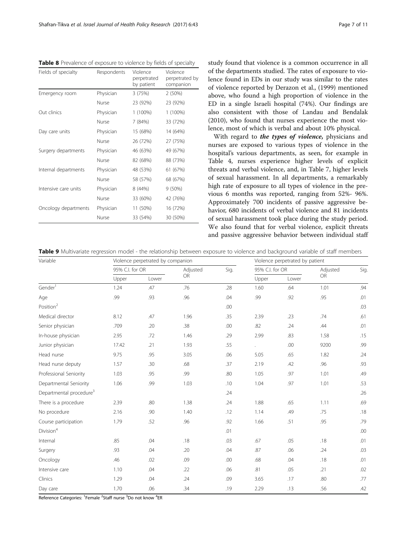<span id="page-6-0"></span>Table 8 Prevalence of exposure to violence by fields of specialty

| Fields of specialty  | Respondents | Violence<br>perpetrated<br>by patient | Violence<br>perpetrated by<br>companion |
|----------------------|-------------|---------------------------------------|-----------------------------------------|
| Emergency room       | Physician   | 3 (75%)                               | 2(50%)                                  |
|                      | Nurse       | 23 (92%)                              | 23 (92%)                                |
| Out clinics          | Physician   | 1 (100%)                              | 1 (100%)                                |
|                      | Nurse       | 7 (84%)                               | 33 (72%)                                |
| Day care units       | Physician   | 15 (68%)                              | 14 (64%)                                |
|                      | Nurse       | 26 (72%)                              | 27 (75%)                                |
| Surgery departments  | Physician   | 46 (63%)                              | 49 (67%)                                |
|                      | Nurse       | 82 (68%)                              | 88 (73%)                                |
| Internal departments | Physician   | 48 (53%)                              | 61 (67%)                                |
|                      | Nurse       | 58 (57%)                              | 68 (67%)                                |
| Intensive care units | Physician   | 8 (44%)                               | 9(50%)                                  |
|                      | Nurse       | 33 (60%)                              | 42 (76%)                                |
| Oncology departments | Physician   | 11 (50%)                              | 16 (72%)                                |
|                      | Nurse       | 33 (54%)                              | 30 (50%)                                |

study found that violence is a common occurrence in all of the departments studied. The rates of exposure to violence found in EDs in our study was similar to the rates of violence reported by Derazon et al., (1999) mentioned above, who found a high proportion of violence in the ED in a single Israeli hospital (74%). Our findings are also consistent with those of Landau and Bendalak (2010), who found that nurses experience the most violence, most of which is verbal and about 10% physical.

With regard to *the types of violence*, physicians and nurses are exposed to various types of violence in the hospital's various departments, as seen, for example in Table [4,](#page-4-0) nurses experience higher levels of explicit threats and verbal violence, and, in Table [7,](#page-5-0) higher levels of sexual harassment. In all departments, a remarkably high rate of exposure to all types of violence in the previous 6 months was reported, ranging from 52%- 96%. Approximately 700 incidents of passive aggressive behavior, 680 incidents of verbal violence and 81 incidents of sexual harassment took place during the study period. We also found that for verbal violence, explicit threats and passive aggressive behavior between individual staff

Table 9 Multivariate regression model - the relationship between exposure to violence and background variable of staff members

| Variable                            | Violence perpetrated by companion |       |          |      | Violence perpetrated by patient |       |           |      |
|-------------------------------------|-----------------------------------|-------|----------|------|---------------------------------|-------|-----------|------|
|                                     | 95% C.I. for OR                   |       | Adjusted | Sig. | 95% C.I. for OR                 |       | Adjusted  | Sig. |
|                                     | Upper                             | Lower | OR       |      | Upper                           | Lower | <b>OR</b> |      |
| Gender <sup>1</sup>                 | 1.24                              | .47   | .76      | .28  | 1.60                            | .64   | 1.01      | .94  |
| Age                                 | .99                               | .93   | .96      | .04  | .99                             | .92   | .95       | .01  |
| Position <sup>2</sup>               |                                   |       |          | .00  |                                 |       |           | .03  |
| Medical director                    | 8.12                              | .47   | 1.96     | .35  | 2.39                            | .23   | .74       | .61  |
| Senior physician                    | .709                              | .20   | .38      | .00  | .82                             | .24   | .44       | .01  |
| In-house physician                  | 2.95                              | .72   | 1.46     | .29  | 2.99                            | .83   | 1.58      | .15  |
| Junior physician                    | 17.42                             | .21   | 1.93     | .55  | $\ddot{\phantom{0}}$            | .00   | 9200      | .99  |
| Head nurse                          | 9.75                              | .95   | 3.05     | .06  | 5.05                            | .65   | 1.82      | .24  |
| Head nurse deputy                   | 1.57                              | .30   | .68      | .37  | 2.19                            | .42   | .96       | .93  |
| Professional Seniority              | 1.03                              | .95   | .99      | .80  | 1.05                            | .97   | 1.01      | .49  |
| Departmental Seniority              | 1.06                              | .99   | 1.03     | .10  | 1.04                            | .97   | 1.01      | .53  |
| Departmental procedure <sup>3</sup> |                                   |       |          | .24  |                                 |       |           | .26  |
| There is a procedure                | 2.39                              | .80   | 1.38     | .24  | 1.88                            | .65   | 1.11      | .69  |
| No procedure                        | 2.16                              | .90   | 1.40     | .12  | 1.14                            | .49   | .75       | .18  |
| Course participation                | 1.79                              | .52   | .96      | .92  | 1.66                            | .51   | .95       | .79  |
| Division <sup>4</sup>               |                                   |       |          | .01  |                                 |       |           | .00  |
| Internal                            | .85                               | .04   | .18      | .03  | .67                             | .05   | .18       | .01  |
| Surgery                             | .93                               | .04   | .20      | .04  | .87                             | .06   | .24       | .03  |
| Oncology                            | .46                               | .02   | .09      | .00  | .68                             | .04   | .18       | .01  |
| Intensive care                      | 1.10                              | .04   | .22      | .06  | .81                             | .05   | .21       | .02  |
| Clinics                             | 1.29                              | .04   | .24      | .09  | 3.65                            | .17   | .80       | .77  |
| Day care                            | 1.70                              | .06   | .34      | .19  | 2.29                            | .13   | .56       | .42  |

Reference Categories: <sup>1</sup>Female <sup>2</sup>Staff nurse <sup>3</sup>Do not know <sup>4</sup>ER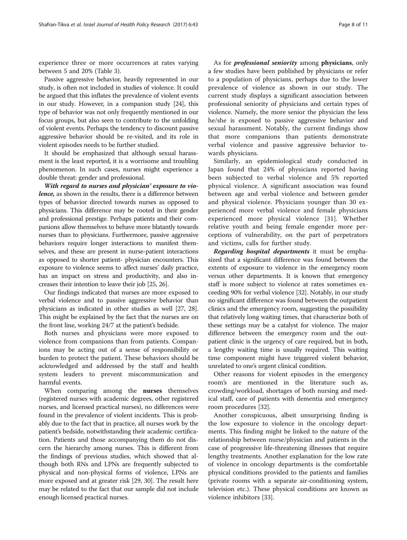experience three or more occurrences at rates varying between 5 and 20% (Table [3](#page-4-0)).

Passive aggressive behavior, heavily represented in our study, is often not included in studies of violence. It could be argued that this inflates the prevalence of violent events in our study. However, in a companion study [[24](#page-9-0)], this type of behavior was not only frequently mentioned in our focus groups, but also seen to contribute to the unfolding of violent events. Perhaps the tendency to discount passive aggressive behavior should be re-visited, and its role in violent episodes needs to be further studied.

It should be emphasized that although sexual harassment is the least reported, it is a worrisome and troubling phenomenon. In such cases, nurses might experience a double threat: gender and professional.

With regard to nurses and physician' exposure to violence, as shown in the results, there is a difference between types of behavior directed towards nurses as opposed to physicians. This difference may be rooted in their gender and professional prestige. Perhaps patients and their companions allow themselves to behave more blatantly towards nurses than to physicians. Furthermore, passive aggressive behaviors require longer interactions to manifest themselves, and these are present in nurse-patient interactions as opposed to shorter patient- physician encounters. This exposure to violence seems to affect nurses' daily practice, has an impact on stress and productivity, and also increases their intention to leave their job [\[25, 26](#page-10-0)].

Our findings indicated that nurses are more exposed to verbal violence and to passive aggressive behavior than physicians as indicated in other studies as well [[27](#page-10-0), [28](#page-10-0)]. This might be explained by the fact that the nurses are on the front line, working 24/7 at the patient's bedside.

Both nurses and physicians were more exposed to violence from companions than from patients. Companions may be acting out of a sense of responsibility or burden to protect the patient. These behaviors should be acknowledged and addressed by the staff and health system leaders to prevent miscommunication and harmful events.

When comparing among the **nurses** themselves (registered nurses with academic degrees, other registered nurses, and licensed practical nurses), no differences were found in the prevalence of violent incidents. This is probably due to the fact that in practice, all nurses work by the patient's bedside, notwithstanding their academic certification. Patients and those accompanying them do not discern the hierarchy among nurses. This is different from the findings of previous studies, which showed that although both RNs and LPNs are frequently subjected to physical and non-physical forms of violence, LPNs are more exposed and at greater risk [\[29, 30](#page-10-0)]. The result here may be related to the fact that our sample did not include enough licensed practical nurses.

As for *professional seniority* among physicians, only a few studies have been published by physicians or refer to a population of physicians, perhaps due to the lower prevalence of violence as shown in our study. The current study displays a significant association between professional seniority of physicians and certain types of violence. Namely, the more senior the physician the less he/she is exposed to passive aggressive behavior and sexual harassment. Notably, the current findings show that more companions than patients demonstrate verbal violence and passive aggressive behavior towards physicians.

Similarly, an epidemiological study conducted in Japan found that 24% of physicians reported having been subjected to verbal violence and 5% reported physical violence. A significant association was found between age and verbal violence and between gender and physical violence. Physicians younger than 30 experienced more verbal violence and female physicians experienced more physical violence [\[31](#page-10-0)]. Whether relative youth and being female engender more perceptions of vulnerability, on the part of perpetrators and victims, calls for further study.

Regarding hospital departments it must be emphasized that a significant difference was found between the extents of exposure to violence in the emergency room versus other departments. It is known that emergency staff is more subject to violence at rates sometimes exceeding 90% for verbal violence [\[32](#page-10-0)]. Notably, in our study no significant difference was found between the outpatient clinics and the emergency room, suggesting the possibility that relatively long waiting times, that characterize both of these settings may be a catalyst for violence. The major difference between the emergency room and the outpatient clinic is the urgency of care required, but in both, a lengthy waiting time is usually required. This waiting time component might have triggered violent behavior, unrelated to one's urgent clinical condition.

Other reasons for violent episodes in the emergency room's are mentioned in the literature such as, crowding/workload, shortages of both nursing and medical staff, care of patients with dementia and emergency room procedures [\[32\]](#page-10-0).

Another conspicuous, albeit unsurprising finding is the low exposure to violence in the oncology departments. This finding might be linked to the nature of the relationship between nurse/physician and patients in the case of progressive life-threatening illnesses that require lengthy treatments. Another explanation for the low rate of violence in oncology departments is the comfortable physical conditions provided to the patients and families (private rooms with a separate air-conditioning system, television etc.). These physical conditions are known as violence inhibitors [\[33](#page-10-0)].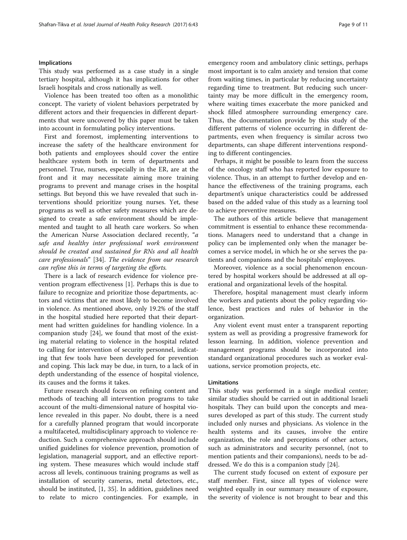## Implications

This study was performed as a case study in a single tertiary hospital, although it has implications for other Israeli hospitals and cross nationally as well.

Violence has been treated too often as a monolithic concept. The variety of violent behaviors perpetrated by different actors and their frequencies in different departments that were uncovered by this paper must be taken into account in formulating policy interventions.

First and foremost, implementing interventions to increase the safety of the healthcare environment for both patients and employees should cover the entire healthcare system both in term of departments and personnel. True, nurses, especially in the ER, are at the front and it may necessitate aiming more training programs to prevent and manage crises in the hospital settings. But beyond this we have revealed that such interventions should prioritize young nurses. Yet, these programs as well as other safety measures which are designed to create a safe environment should be implemented and taught to all heath care workers. So when the American Nurse Association declared recently, "a safe and healthy inter professional work environment should be created and sustained for RNs and all health care professionals" [[34](#page-10-0)]. The evidence from our research can refine this in terms of targeting the efforts.

There is a lack of research evidence for violence prevention program effectiveness [[1\]](#page-9-0). Perhaps this is due to failure to recognize and prioritize those departments, actors and victims that are most likely to become involved in violence. As mentioned above, only 19.2% of the staff in the hospital studied here reported that their department had written guidelines for handling violence. In a companion study [[24\]](#page-9-0), we found that most of the existing material relating to violence in the hospital related to calling for intervention of security personnel, indicating that few tools have been developed for prevention and coping. This lack may be due, in turn, to a lack of in depth understanding of the essence of hospital violence, its causes and the forms it takes.

Future research should focus on refining content and methods of teaching all intervention programs to take account of the multi-dimensional nature of hospital violence revealed in this paper. No doubt, there is a need for a carefully planned program that would incorporate a multifaceted, multidisciplinary approach to violence reduction. Such a comprehensive approach should include unified guidelines for violence prevention, promotion of legislation, managerial support, and an effective reporting system. These measures which would include staff across all levels, continuous training programs as well as installation of security cameras, metal detectors, etc., should be instituted, [\[1](#page-9-0), [35](#page-10-0)]. In addition, guidelines need to relate to micro contingencies. For example, in emergency room and ambulatory clinic settings, perhaps most important is to calm anxiety and tension that come from waiting times, in particular by reducing uncertainty regarding time to treatment. But reducing such uncertainty may be more difficult in the emergency room, where waiting times exacerbate the more panicked and shock filled atmosphere surrounding emergency care. Thus, the documentation provide by this study of the different patterns of violence occurring in different departments, even when frequency is similar across two departments, can shape different interventions responding to different contingencies.

Perhaps, it might be possible to learn from the success of the oncology staff who has reported low exposure to violence. Thus, in an attempt to further develop and enhance the effectiveness of the training programs, each department's unique characteristics could be addressed based on the added value of this study as a learning tool to achieve preventive measures.

The authors of this article believe that management commitment is essential to enhance these recommendations. Managers need to understand that a change in policy can be implemented only when the manager becomes a service model, in which he or she serves the patients and companions and the hospitals' employees.

Moreover, violence as a social phenomenon encountered by hospital workers should be addressed at all operational and organizational levels of the hospital.

Therefore, hospital management must clearly inform the workers and patients about the policy regarding violence, best practices and rules of behavior in the organization.

Any violent event must enter a transparent reporting system as well as providing a progressive framework for lesson learning. In addition, violence prevention and management programs should be incorporated into standard organizational procedures such as worker evaluations, service promotion projects, etc.

### Limitations

This study was performed in a single medical center; similar studies should be carried out in additional Israeli hospitals. They can build upon the concepts and measures developed as part of this study. The current study included only nurses and physicians. As violence in the health systems and its causes, involve the entire organization, the role and perceptions of other actors, such as administrators and security personnel, (not to mention patients and their companions), needs to be addressed. We do this is a companion study [[24\]](#page-9-0).

The current study focused on extent of exposure per staff member. First, since all types of violence were weighted equally in our summary measure of exposure, the severity of violence is not brought to bear and this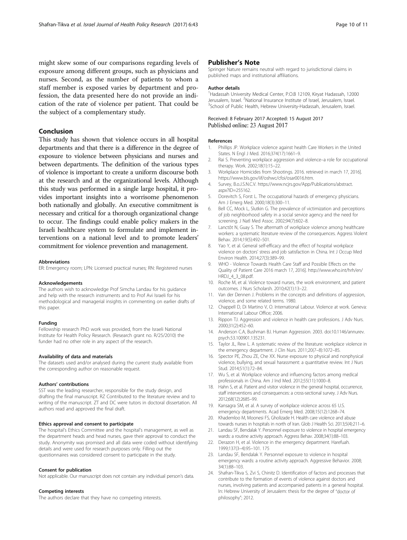<span id="page-9-0"></span>might skew some of our comparisons regarding levels of exposure among different groups, such as physicians and nurses. Second, as the number of patients to whom a staff member is exposed varies by department and profession, the data presented here do not provide an indication of the rate of violence per patient. That could be the subject of a complementary study.

## Conclusion

This study has shown that violence occurs in all hospital departments and that there is a difference in the degree of exposure to violence between physicians and nurses and between departments. The definition of the various types of violence is important to create a uniform discourse both at the research and at the organizational levels. Although this study was performed in a single large hospital, it provides important insights into a worrisome phenomenon both nationally and globally. An executive commitment is necessary and critical for a thorough organizational change to occur. The findings could enable policy makers in the Israeli healthcare system to formulate and implement interventions on a national level and to promote leaders' commitment for violence prevention and management.

#### Abbreviations

ER: Emergency room; LPN: Licensed practical nurses; RN: Registered nurses

#### Acknowledgements

The authors wish to acknowledge Prof Simcha Landau for his guidance and help with the research instruments and to Prof Avi Israeli for his methodological and managerial insights in commenting on earlier drafts of this paper.

#### Funding

Fellowship research PhD work was provided, from the Israeli National Institute for Health Policy Research. (Research grant no. R/25/2010) the funder had no other role in any aspect of the research.

#### Availability of data and materials

The datasets used and/or analysed during the current study available from the corresponding author on reasonable request.

#### Authors' contributions

SST was the leading researcher, responsible for the study design, and drafting the final manuscript. RZ Contributed to the literature review and to writing of the manuscript. ZT and DC were tutors in doctoral dissertation. All authors read and approved the final draft.

#### Ethics approval and consent to participate

The hospital's Ethics Committee and the hospital's management, as well as the department heads and head nurses, gave their approval to conduct the study. Anonymity was promised and all data were coded without identifying details and were used for research purposes only. Filling out the questionnaires was considered consent to participate in the study.

#### Consent for publication

Not applicable. Our manuscript does not contain any individual person's data.

#### Competing interests

The authors declare that they have no competing interests.

#### Publisher's Note

Springer Nature remains neutral with regard to jurisdictional claims in published maps and institutional affiliations.

#### Author details

<sup>1</sup>Hadassah University Medical Center, P.O.B 12109, Kiryat Hadassah, 12000 Jerusalem, Israel. <sup>2</sup>National Insurance Institute of Israel, Jerusalem, Israel.<br><sup>3</sup>School of Public Haalth, Hebrew University-Hadassah, Jerusalem, Israel <sup>3</sup>School of Public Health, Hebrew University-Hadassah, Jerusalem, Israel.

#### Received: 8 February 2017 Accepted: 15 August 2017 Published online: 23 August 2017

#### References

- 1. Phillips JP. Workplace violence against health Care Workers in the United States. N Engl J Med. 2016;374(17):1661–9.
- 2. Rai S. Preventing workplace aggression and violence–a role for occupational therapy. Work. 2002;18(1):15–22.
- 3. Workplace Homicides from Shootings. 2016. retrieved in march 17, 2016]. <https://www.bls.gov/iif/oshwc/cfoi/osar0016.htm>.
- 4. Survey, B.o.J.S.N.C.V. [https://www.ncjrs.gov/App/Publications/abstract.](https://www.ncjrs.gov/App/Publications/abstract.aspx?ID=255162) [aspx?ID=255162.](https://www.ncjrs.gov/App/Publications/abstract.aspx?ID=255162)
- 5. Dorevitch S, Forst L. The occupational hazards of emergency physicians. Am J Emerg Med. 2000;18(3):300–11.
- 6. Bell CC, Mock L, Slutkin G. The prevalence of victimization and perceptions of job neighborhood safety in a social service agency and the need for screening. J Natl Med Assoc. 2002;94(7):602–8.
- 7. Lanctôt N, Guay S. The aftermath of workplace violence among healthcare workers: a systematic literature review of the consequences. Aggress Violent Behav. 2014;19(5):492–501.
- 8. Yao Y, et al. General self-efficacy and the effect of hospital workplace violence on doctors' stress and job satisfaction in China. Int J Occup Med Environ Health. 2014;27(3):389–99.
- 9. WHO Violence Towards Health Care Staff and Possible Effects on the Quality of Patient Care 2016 march 17, 2016]. [http://www.who.int/hrh/en/](http://www.who.int/hrh/en/HRDJ_4_3_08.pdf) [HRDJ\\_4\\_3\\_08.pdf.](http://www.who.int/hrh/en/HRDJ_4_3_08.pdf)
- 10. Roche M, et al. Violence toward nurses, the work environment, and patient outcomes. J Nurs Scholarsh. 2010;42(1):13–22.
- 11. Van der Dennen J. Problems in the concepts and definitions of aggression, violence, and some related terms. 1980.
- 12. Chappell D, Di Martino V, O. International Labour. Violence at work. Geneva: International Labour Office; 2006.
- 13. Rippon TJ. Aggression and violence in health care professions. J Adv Nurs. 2000;31(2):452–60.
- 14. Anderson C.A, Bushman BJ. Human Aggression. 2003. doi[:10.1146/annurev.](http://dx.doi.org/10.1146/annurev.psych.53.100901.135231) [psych.53.100901.135231.](http://dx.doi.org/10.1146/annurev.psych.53.100901.135231)
- 15. Taylor JL, Rew L. A systematic review of the literature: workplace violence in the emergency department. J Clin Nurs. 2011;20(7–8):1072–85.
- 16. Spector PE, Zhou ZE, Che XX. Nurse exposure to physical and nonphysical violence, bullying, and sexual harassment: a quantitative review. Int J Nurs Stud. 2014;51(1):72–84.
- 17. Wu S, et al. Workplace violence and influencing factors among medical professionals in China. Am J Ind Med. 2012;55(11):1000–8.
- 18. Hahn S, et al. Patient and visitor violence in the general hospital, occurrence, staff interventions and consequences: a cross-sectional survey. J Adv Nurs. 2012;68(12):2685–99.
- 19. Kansagra SM, et al. A survey of workplace violence across 65 U.S. emergency departments. Acad Emerg Med. 2008;15(12):1268–74.
- 20. Khademloo M, Moonesi FS, Gholizade H. Health care violence and abuse towards nurses in hospitals in north of Iran. Glob J Health Sci. 2013;5(4):211–6.
- 21. Landau SF, Bendalak Y. Personnel exposure to violence in hospital emergency wards: a routine activity approach. Aggress Behav. 2008;34(1):88–103.
- 22. Derazon H, et al. Violence in the emergency department. Harefuah. 1999;137(3–4):95–101. 175
- 23. Landau SF, Bendalak Y. Personnel exposure to violence in hospital emergency wards: a routine activity approach. Aggressive Behavior. 2008; 34(1):88–103.
- 24. Shafran-Tikva S, Zvi S, Chinitz D. Identification of factors and processes that contribute to the formation of events of violence against doctors and nurses, involving patients and accompanied patients in a general hospital. In: Hebrew University of Jerusalem: thesis for the degree of "doctor of philosophy"; 2012.